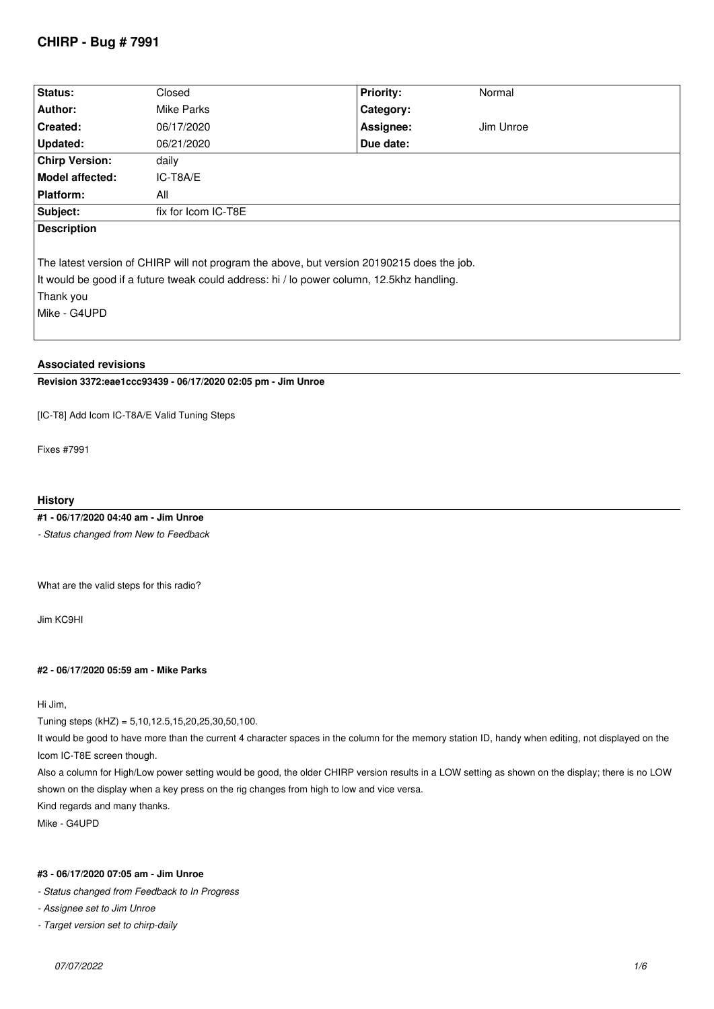# **CHIRP - Bug # 7991**

| Status:                                                                                    | Closed              | <b>Priority:</b> | Normal    |  |  |
|--------------------------------------------------------------------------------------------|---------------------|------------------|-----------|--|--|
| Author:                                                                                    | Mike Parks          | Category:        |           |  |  |
| <b>Created:</b>                                                                            | 06/17/2020          | Assignee:        | Jim Unroe |  |  |
| Updated:                                                                                   | 06/21/2020          | Due date:        |           |  |  |
| <b>Chirp Version:</b>                                                                      | daily               |                  |           |  |  |
| Model affected:                                                                            | IC-T8A/E            |                  |           |  |  |
| Platform:                                                                                  | All                 |                  |           |  |  |
| Subject:                                                                                   | fix for Icom IC-T8E |                  |           |  |  |
| <b>Description</b>                                                                         |                     |                  |           |  |  |
|                                                                                            |                     |                  |           |  |  |
| The latest version of CHIRP will not program the above, but version 20190215 does the job. |                     |                  |           |  |  |
| It would be good if a future tweak could address: hi / lo power column, 12.5khz handling.  |                     |                  |           |  |  |
| Thank you                                                                                  |                     |                  |           |  |  |
| l Mike - G4UPD                                                                             |                     |                  |           |  |  |
|                                                                                            |                     |                  |           |  |  |
|                                                                                            |                     |                  |           |  |  |

# **Associated revisions**

**Revision 3372:eae1ccc93439 - 06/17/2020 02:05 pm - Jim Unroe** 

*[IC-T8] Add Icom IC-T8A/E Valid Tuning Steps*

*Fixes #7991*

### **History**

**#1 - 06/17/2020 04:40 am - Jim Unroe**

*- Status changed from New to Feedback*

*What are the valid steps for this radio?*

*Jim KC9HI*

### **#2 - 06/17/2020 05:59 am - Mike Parks**

*Hi Jim,*

*Tuning steps (kHZ) = 5,10,12.5,15,20,25,30,50,100.*

*It would be good to have more than the current 4 character spaces in the column for the memory station ID, handy when editing, not displayed on the Icom IC-T8E screen though.*

*Also a column for High/Low power setting would be good, the older CHIRP version results in a LOW setting as shown on the display; there is no LOW shown on the display when a key press on the rig changes from high to low and vice versa. Kind regards and many thanks.*

*Mike - G4UPD*

# **#3 - 06/17/2020 07:05 am - Jim Unroe**

*- Status changed from Feedback to In Progress*

*- Assignee set to Jim Unroe*

*- Target version set to chirp-daily*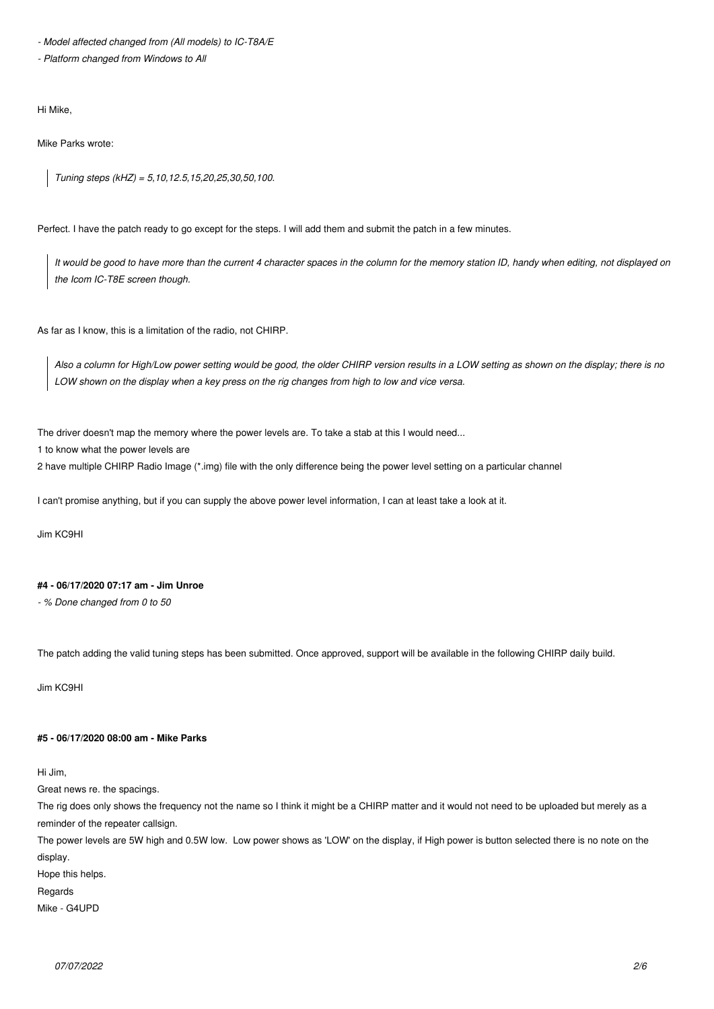*- Model affected changed from (All models) to IC-T8A/E*

*- Platform changed from Windows to All*

*Hi Mike,*

*Mike Parks wrote:*

*Tuning steps (kHZ) = 5,10,12.5,15,20,25,30,50,100.*

*Perfect. I have the patch ready to go except for the steps. I will add them and submit the patch in a few minutes.*

*It would be good to have more than the current 4 character spaces in the column for the memory station ID, handy when editing, not displayed on the Icom IC-T8E screen though.*

*As far as I know, this is a limitation of the radio, not CHIRP.*

*Also a column for High/Low power setting would be good, the older CHIRP version results in a LOW setting as shown on the display; there is no LOW shown on the display when a key press on the rig changes from high to low and vice versa.*

*The driver doesn't map the memory where the power levels are. To take a stab at this I would need...*

*1 to know what the power levels are*

*2 have multiple CHIRP Radio Image (\*.img) file with the only difference being the power level setting on a particular channel*

*I can't promise anything, but if you can supply the above power level information, I can at least take a look at it.*

*Jim KC9HI*

### **#4 - 06/17/2020 07:17 am - Jim Unroe**

*- % Done changed from 0 to 50*

*The patch adding the valid tuning steps has been submitted. Once approved, support will be available in the following CHIRP daily build.*

*Jim KC9HI*

### **#5 - 06/17/2020 08:00 am - Mike Parks**

*Hi Jim,*

*Great news re. the spacings.*

*The rig does only shows the frequency not the name so I think it might be a CHIRP matter and it would not need to be uploaded but merely as a reminder of the repeater callsign.* 

*The power levels are 5W high and 0.5W low. Low power shows as 'LOW' on the display, if High power is button selected there is no note on the display.*

*Hope this helps.*

*Regards*

*Mike - G4UPD*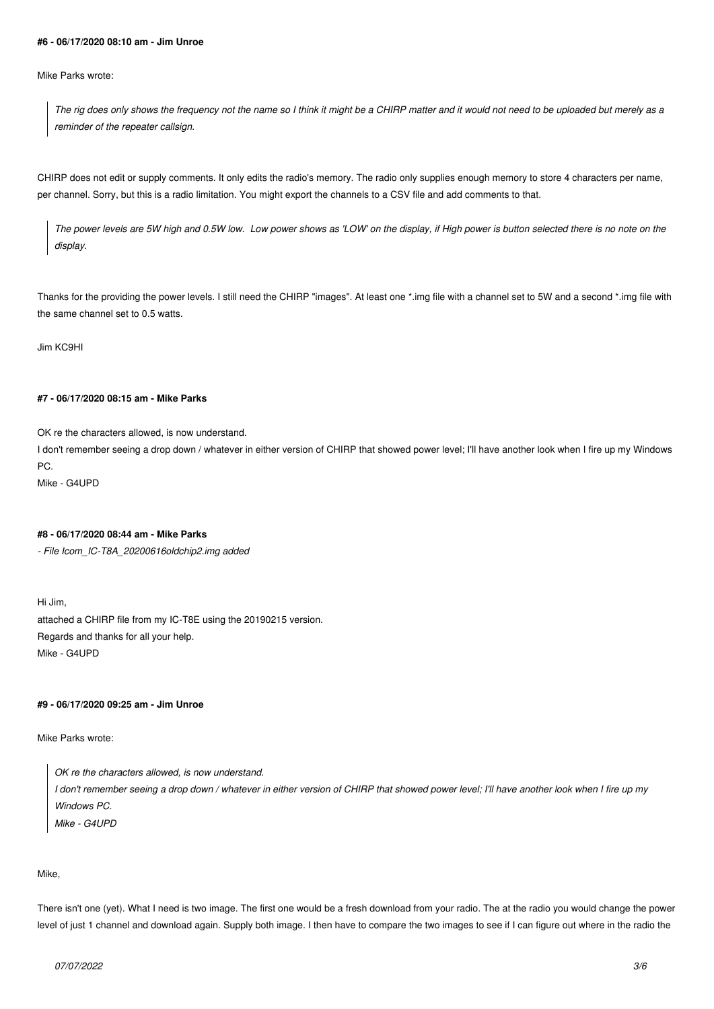#### **#6 - 06/17/2020 08:10 am - Jim Unroe**

*Mike Parks wrote:*

*The rig does only shows the frequency not the name so I think it might be a CHIRP matter and it would not need to be uploaded but merely as a reminder of the repeater callsign.*

*CHIRP does not edit or supply comments. It only edits the radio's memory. The radio only supplies enough memory to store 4 characters per name, per channel. Sorry, but this is a radio limitation. You might export the channels to a CSV file and add comments to that.*

*The power levels are 5W high and 0.5W low. Low power shows as 'LOW' on the display, if High power is button selected there is no note on the display.*

*Thanks for the providing the power levels. I still need the CHIRP "images". At least one \*.img file with a channel set to 5W and a second \*.img file with the same channel set to 0.5 watts.*

*Jim KC9HI*

### **#7 - 06/17/2020 08:15 am - Mike Parks**

*OK re the characters allowed, is now understand.*

*I don't remember seeing a drop down / whatever in either version of CHIRP that showed power level; I'll have another look when I fire up my Windows PC.*

*Mike - G4UPD*

#### **#8 - 06/17/2020 08:44 am - Mike Parks**

*- File Icom\_IC-T8A\_20200616oldchip2.img added*

*Hi Jim, attached a CHIRP file from my IC-T8E using the 20190215 version. Regards and thanks for all your help. Mike - G4UPD*

## **#9 - 06/17/2020 09:25 am - Jim Unroe**

*Mike Parks wrote:*

*OK re the characters allowed, is now understand. I don't remember seeing a drop down / whatever in either version of CHIRP that showed power level; I'll have another look when I fire up my Windows PC.*

*Mike - G4UPD*

*Mike,*

*There isn't one (yet). What I need is two image. The first one would be a fresh download from your radio. The at the radio you would change the power level of just 1 channel and download again. Supply both image. I then have to compare the two images to see if I can figure out where in the radio the*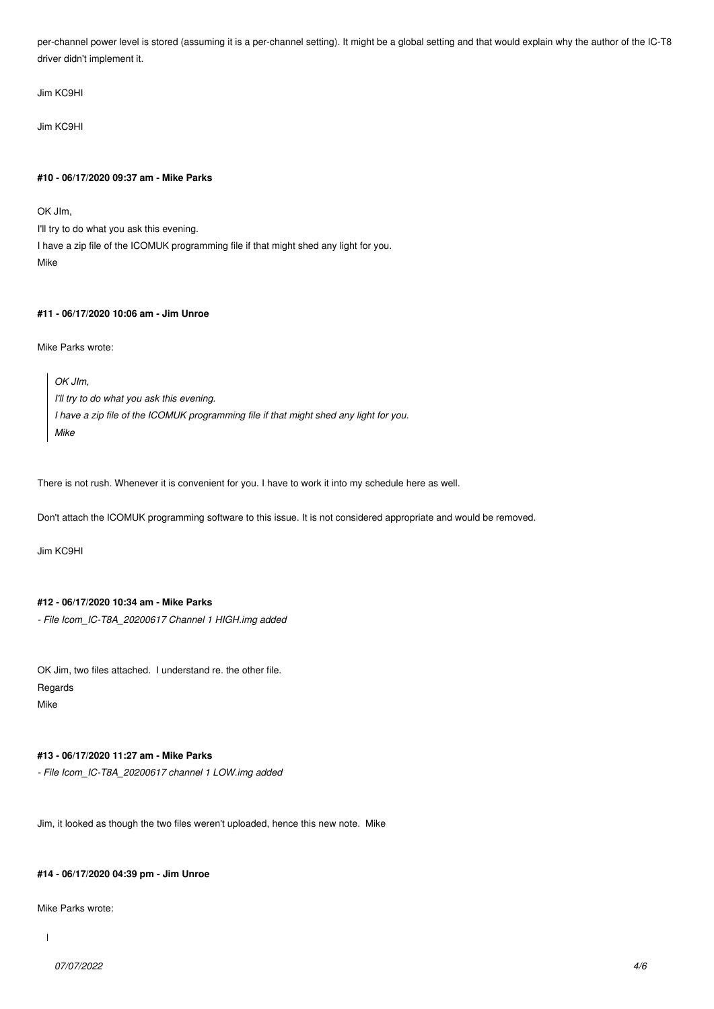*per-channel power level is stored (assuming it is a per-channel setting). It might be a global setting and that would explain why the author of the IC-T8 driver didn't implement it.*

*Jim KC9HI*

*Jim KC9HI*

#### **#10 - 06/17/2020 09:37 am - Mike Parks**

*OK JIm,*

*I'll try to do what you ask this evening. I have a zip file of the ICOMUK programming file if that might shed any light for you. Mike*

# **#11 - 06/17/2020 10:06 am - Jim Unroe**

*Mike Parks wrote:*

*OK JIm, I'll try to do what you ask this evening. I have a zip file of the ICOMUK programming file if that might shed any light for you. Mike*

*There is not rush. Whenever it is convenient for you. I have to work it into my schedule here as well.*

*Don't attach the ICOMUK programming software to this issue. It is not considered appropriate and would be removed.*

*Jim KC9HI*

# **#12 - 06/17/2020 10:34 am - Mike Parks**

*- File Icom\_IC-T8A\_20200617 Channel 1 HIGH.img added*

*OK Jim, two files attached. I understand re. the other file. Regards Mike*

# **#13 - 06/17/2020 11:27 am - Mike Parks**

*- File Icom\_IC-T8A\_20200617 channel 1 LOW.img added*

*Jim, it looked as though the two files weren't uploaded, hence this new note. Mike*

#### **#14 - 06/17/2020 04:39 pm - Jim Unroe**

*Mike Parks wrote:*

 $\overline{\phantom{a}}$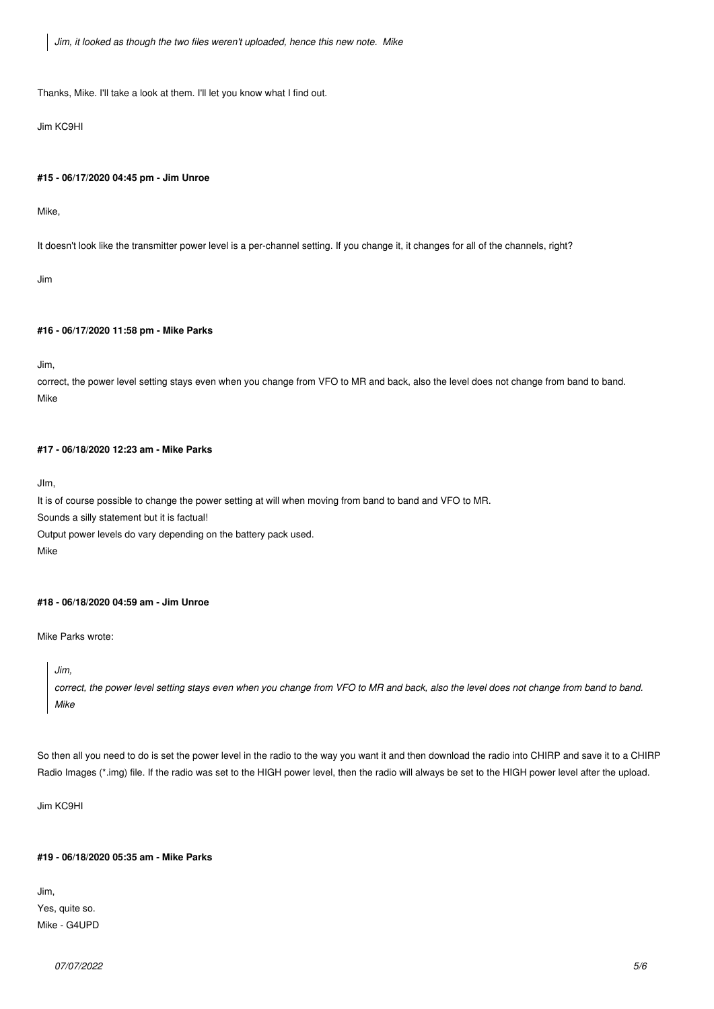*Jim, it looked as though the two files weren't uploaded, hence this new note. Mike*

*Thanks, Mike. I'll take a look at them. I'll let you know what I find out.*

*Jim KC9HI*

#### **#15 - 06/17/2020 04:45 pm - Jim Unroe**

*Mike,*

*It doesn't look like the transmitter power level is a per-channel setting. If you change it, it changes for all of the channels, right?*

*Jim*

#### **#16 - 06/17/2020 11:58 pm - Mike Parks**

*Jim,*

*correct, the power level setting stays even when you change from VFO to MR and back, also the level does not change from band to band. Mike*

# **#17 - 06/18/2020 12:23 am - Mike Parks**

*JIm,*

*It is of course possible to change the power setting at will when moving from band to band and VFO to MR.*

*Sounds a silly statement but it is factual!*

*Output power levels do vary depending on the battery pack used.* 

*Mike*

### **#18 - 06/18/2020 04:59 am - Jim Unroe**

*Mike Parks wrote:*

*Jim,*

*correct, the power level setting stays even when you change from VFO to MR and back, also the level does not change from band to band. Mike*

*So then all you need to do is set the power level in the radio to the way you want it and then download the radio into CHIRP and save it to a CHIRP Radio Images (\*.img) file. If the radio was set to the HIGH power level, then the radio will always be set to the HIGH power level after the upload.*

*Jim KC9HI*

#### **#19 - 06/18/2020 05:35 am - Mike Parks**

*Jim, Yes, quite so. Mike - G4UPD*